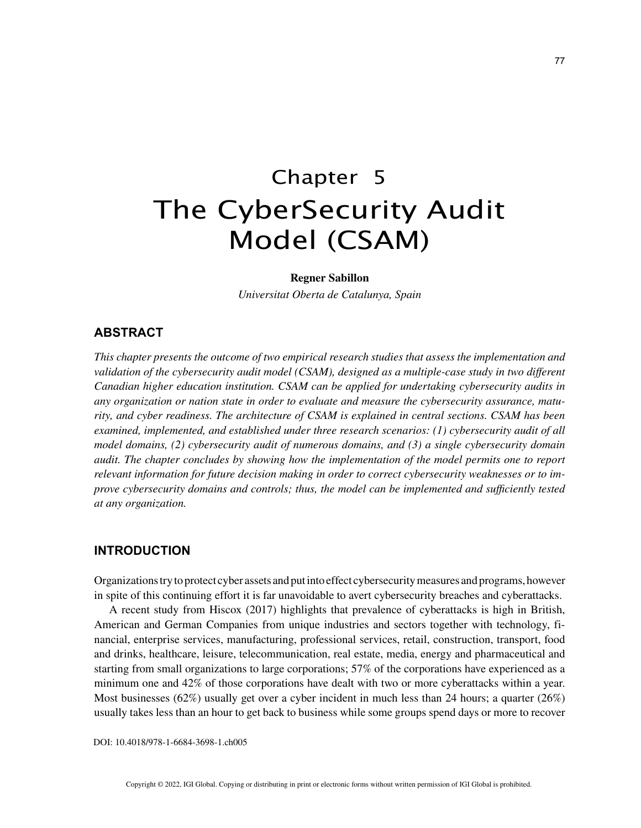# Chapter 5 The CyberSecurity Audit Model (CSAM)

#### **Regner Sabillon**

*Universitat Oberta de Catalunya, Spain*

## **ABSTRACT**

*This chapter presents the outcome of two empirical research studies that assess the implementation and validation of the cybersecurity audit model (CSAM), designed as a multiple-case study in two different Canadian higher education institution. CSAM can be applied for undertaking cybersecurity audits in any organization or nation state in order to evaluate and measure the cybersecurity assurance, maturity, and cyber readiness. The architecture of CSAM is explained in central sections. CSAM has been examined, implemented, and established under three research scenarios: (1) cybersecurity audit of all model domains, (2) cybersecurity audit of numerous domains, and (3) a single cybersecurity domain audit. The chapter concludes by showing how the implementation of the model permits one to report relevant information for future decision making in order to correct cybersecurity weaknesses or to improve cybersecurity domains and controls; thus, the model can be implemented and sufficiently tested at any organization.*

## **INTRODUCTION**

Organizations try to protect cyber assets and put into effect cybersecurity measures and programs, however in spite of this continuing effort it is far unavoidable to avert cybersecurity breaches and cyberattacks.

A recent study from Hiscox (2017) highlights that prevalence of cyberattacks is high in British, American and German Companies from unique industries and sectors together with technology, financial, enterprise services, manufacturing, professional services, retail, construction, transport, food and drinks, healthcare, leisure, telecommunication, real estate, media, energy and pharmaceutical and starting from small organizations to large corporations; 57% of the corporations have experienced as a minimum one and 42% of those corporations have dealt with two or more cyberattacks within a year. Most businesses (62%) usually get over a cyber incident in much less than 24 hours; a quarter (26%) usually takes less than an hour to get back to business while some groups spend days or more to recover

DOI: 10.4018/978-1-6684-3698-1.ch005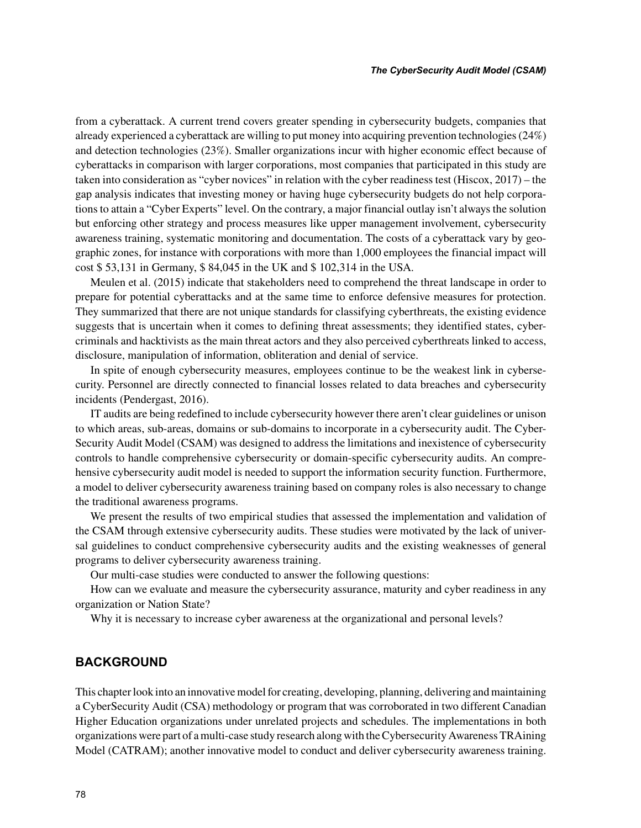from a cyberattack. A current trend covers greater spending in cybersecurity budgets, companies that already experienced a cyberattack are willing to put money into acquiring prevention technologies (24%) and detection technologies (23%). Smaller organizations incur with higher economic effect because of cyberattacks in comparison with larger corporations, most companies that participated in this study are taken into consideration as "cyber novices" in relation with the cyber readiness test (Hiscox, 2017) – the gap analysis indicates that investing money or having huge cybersecurity budgets do not help corporations to attain a "Cyber Experts" level. On the contrary, a major financial outlay isn't always the solution but enforcing other strategy and process measures like upper management involvement, cybersecurity awareness training, systematic monitoring and documentation. The costs of a cyberattack vary by geographic zones, for instance with corporations with more than 1,000 employees the financial impact will cost \$ 53,131 in Germany, \$ 84,045 in the UK and \$ 102,314 in the USA.

Meulen et al. (2015) indicate that stakeholders need to comprehend the threat landscape in order to prepare for potential cyberattacks and at the same time to enforce defensive measures for protection. They summarized that there are not unique standards for classifying cyberthreats, the existing evidence suggests that is uncertain when it comes to defining threat assessments; they identified states, cybercriminals and hacktivists as the main threat actors and they also perceived cyberthreats linked to access, disclosure, manipulation of information, obliteration and denial of service.

In spite of enough cybersecurity measures, employees continue to be the weakest link in cybersecurity. Personnel are directly connected to financial losses related to data breaches and cybersecurity incidents (Pendergast, 2016).

IT audits are being redefined to include cybersecurity however there aren't clear guidelines or unison to which areas, sub-areas, domains or sub-domains to incorporate in a cybersecurity audit. The Cyber-Security Audit Model (CSAM) was designed to address the limitations and inexistence of cybersecurity controls to handle comprehensive cybersecurity or domain-specific cybersecurity audits. An comprehensive cybersecurity audit model is needed to support the information security function. Furthermore, a model to deliver cybersecurity awareness training based on company roles is also necessary to change the traditional awareness programs.

We present the results of two empirical studies that assessed the implementation and validation of the CSAM through extensive cybersecurity audits. These studies were motivated by the lack of universal guidelines to conduct comprehensive cybersecurity audits and the existing weaknesses of general programs to deliver cybersecurity awareness training.

Our multi-case studies were conducted to answer the following questions:

How can we evaluate and measure the cybersecurity assurance, maturity and cyber readiness in any organization or Nation State?

Why it is necessary to increase cyber awareness at the organizational and personal levels?

#### **BACKGROUND**

This chapter look into an innovative model for creating, developing, planning, delivering and maintaining a CyberSecurity Audit (CSA) methodology or program that was corroborated in two different Canadian Higher Education organizations under unrelated projects and schedules. The implementations in both organizations were part of a multi-case study research along with the Cybersecurity Awareness TRAining Model (CATRAM); another innovative model to conduct and deliver cybersecurity awareness training.